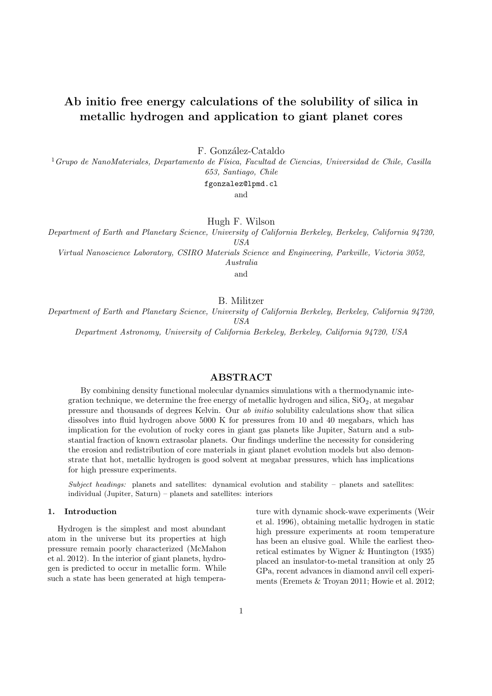# Ab initio free energy calculations of the solubility of silica in metallic hydrogen and application to giant planet cores

F. González-Cataldo

 $1$ Grupo de NanoMateriales, Departamento de Física, Facultad de Ciencias, Universidad de Chile, Casilla 653, Santiago, Chile

fgonzalez@lpmd.cl

and

Hugh F. Wilson

Department of Earth and Planetary Science, University of California Berkeley, Berkeley, California 94720, USA

Virtual Nanoscience Laboratory, CSIRO Materials Science and Engineering, Parkville, Victoria 3052,

Australia

and

B. Militzer

Department of Earth and Planetary Science, University of California Berkeley, Berkeley, California 94720, USA

Department Astronomy, University of California Berkeley, Berkeley, California 94720, USA

# ABSTRACT

By combining density functional molecular dynamics simulations with a thermodynamic integration technique, we determine the free energy of metallic hydrogen and silica,  $SiO<sub>2</sub>$ , at megabar pressure and thousands of degrees Kelvin. Our ab initio solubility calculations show that silica dissolves into fluid hydrogen above 5000 K for pressures from 10 and 40 megabars, which has implication for the evolution of rocky cores in giant gas planets like Jupiter, Saturn and a substantial fraction of known extrasolar planets. Our findings underline the necessity for considering the erosion and redistribution of core materials in giant planet evolution models but also demonstrate that hot, metallic hydrogen is good solvent at megabar pressures, which has implications for high pressure experiments.

Subject headings: planets and satellites: dynamical evolution and stability – planets and satellites: individual (Jupiter, Saturn) – planets and satellites: interiors

## 1. Introduction

Hydrogen is the simplest and most abundant atom in the universe but its properties at high pressure remain poorly characterized (McMahon et al. 2012). In the interior of giant planets, hydrogen is predicted to occur in metallic form. While such a state has been generated at high temperature with dynamic shock-wave experiments (Weir et al. 1996), obtaining metallic hydrogen in static high pressure experiments at room temperature has been an elusive goal. While the earliest theoretical estimates by Wigner & Huntington (1935) placed an insulator-to-metal transition at only 25 GPa, recent advances in diamond anvil cell experiments (Eremets & Troyan 2011; Howie et al. 2012;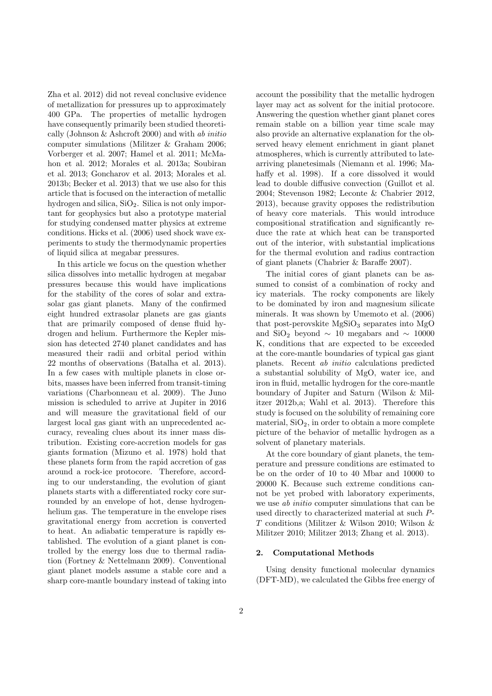Zha et al. 2012) did not reveal conclusive evidence of metallization for pressures up to approximately 400 GPa. The properties of metallic hydrogen have consequently primarily been studied theoretically (Johnson & Ashcroft 2000) and with ab initio computer simulations (Militzer & Graham 2006; Vorberger et al. 2007; Hamel et al. 2011; McMahon et al. 2012; Morales et al. 2013a; Soubiran et al. 2013; Goncharov et al. 2013; Morales et al. 2013b; Becker et al. 2013) that we use also for this article that is focused on the interaction of metallic hydrogen and silica, SiO2. Silica is not only important for geophysics but also a prototype material for studying condensed matter physics at extreme conditions. Hicks et al. (2006) used shock wave experiments to study the thermodynamic properties of liquid silica at megabar pressures.

In this article we focus on the question whether silica dissolves into metallic hydrogen at megabar pressures because this would have implications for the stability of the cores of solar and extrasolar gas giant planets. Many of the confirmed eight hundred extrasolar planets are gas giants that are primarily composed of dense fluid hydrogen and helium. Furthermore the Kepler mission has detected 2740 planet candidates and has measured their radii and orbital period within 22 months of observations (Batalha et al. 2013). In a few cases with multiple planets in close orbits, masses have been inferred from transit-timing variations (Charbonneau et al. 2009). The Juno mission is scheduled to arrive at Jupiter in 2016 and will measure the gravitational field of our largest local gas giant with an unprecedented accuracy, revealing clues about its inner mass distribution. Existing core-accretion models for gas giants formation (Mizuno et al. 1978) hold that these planets form from the rapid accretion of gas around a rock-ice protocore. Therefore, according to our understanding, the evolution of giant planets starts with a differentiated rocky core surrounded by an envelope of hot, dense hydrogenhelium gas. The temperature in the envelope rises gravitational energy from accretion is converted to heat. An adiabatic temperature is rapidly established. The evolution of a giant planet is controlled by the energy loss due to thermal radiation (Fortney & Nettelmann 2009). Conventional giant planet models assume a stable core and a sharp core-mantle boundary instead of taking into account the possibility that the metallic hydrogen layer may act as solvent for the initial protocore. Answering the question whether giant planet cores remain stable on a billion year time scale may also provide an alternative explanation for the observed heavy element enrichment in giant planet atmospheres, which is currently attributed to latearriving planetesimals (Niemann et al. 1996; Mahaffy et al. 1998). If a core dissolved it would lead to double diffusive convection (Guillot et al. 2004; Stevenson 1982; Leconte & Chabrier 2012, 2013), because gravity opposes the redistribution of heavy core materials. This would introduce compositional stratification and significantly reduce the rate at which heat can be transported out of the interior, with substantial implications for the thermal evolution and radius contraction of giant planets (Chabrier & Baraffe 2007).

The initial cores of giant planets can be assumed to consist of a combination of rocky and icy materials. The rocky components are likely to be dominated by iron and magnesium silicate minerals. It was shown by Umemoto et al. (2006) that post-perovskite  $MgSiO<sub>3</sub>$  separates into  $MgO$ and SiO<sub>2</sub> beyond  $\sim$  10 megabars and  $\sim$  10000 K, conditions that are expected to be exceeded at the core-mantle boundaries of typical gas giant planets. Recent ab initio calculations predicted a substantial solubility of MgO, water ice, and iron in fluid, metallic hydrogen for the core-mantle boundary of Jupiter and Saturn (Wilson & Militzer 2012b,a; Wahl et al. 2013). Therefore this study is focused on the solubility of remaining core material,  $SiO<sub>2</sub>$ , in order to obtain a more complete picture of the behavior of metallic hydrogen as a solvent of planetary materials.

At the core boundary of giant planets, the temperature and pressure conditions are estimated to be on the order of 10 to 40 Mbar and 10000 to 20000 K. Because such extreme conditions cannot be yet probed with laboratory experiments, we use *ab initio* computer simulations that can be used directly to characterized material at such P-T conditions (Militzer & Wilson 2010; Wilson & Militzer 2010; Militzer 2013; Zhang et al. 2013).

#### 2. Computational Methods

Using density functional molecular dynamics (DFT-MD), we calculated the Gibbs free energy of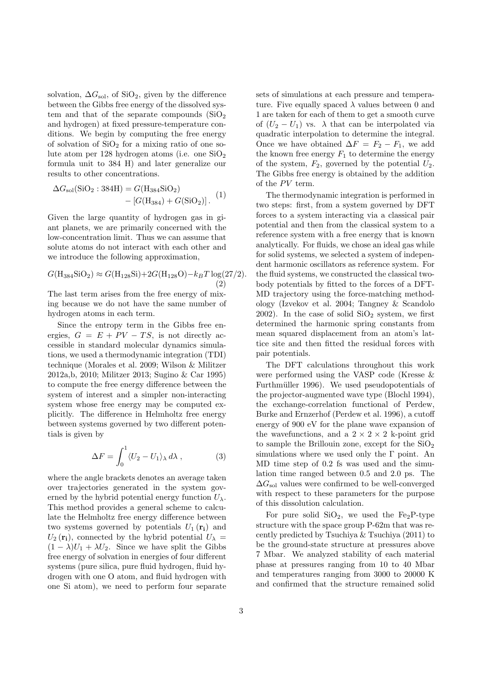solvation,  $\Delta G_{\rm sol}$ , of SiO<sub>2</sub>, given by the difference between the Gibbs free energy of the dissolved system and that of the separate compounds  $(SiO<sub>2</sub>)$ and hydrogen) at fixed pressure-temperature conditions. We begin by computing the free energy of solvation of  $SiO<sub>2</sub>$  for a mixing ratio of one solute atom per 128 hydrogen atoms (i.e. one  $SiO<sub>2</sub>$ formula unit to 384 H) and later generalize our results to other concentrations.

$$
\Delta G_{sol}(\text{SiO}_2: 384\text{H}) = G(\text{H}_{384}\text{SiO}_2) - [G(\text{H}_{384}) + G(\text{SiO}_2)].
$$
 (1)

Given the large quantity of hydrogen gas in giant planets, we are primarily concerned with the low-concentration limit. Thus we can assume that solute atoms do not interact with each other and we introduce the following approximation,

$$
G(\text{H}_{384}\text{SiO}_2) \approx G(\text{H}_{128}\text{Si}) + 2G(\text{H}_{128}\text{O}) - k_B T \log(27/2). \tag{2}
$$

The last term arises from the free energy of mixing because we do not have the same number of hydrogen atoms in each term.

Since the entropy term in the Gibbs free energies,  $G = E + PV - TS$ , is not directly accessible in standard molecular dynamics simulations, we used a thermodynamic integration (TDI) technique (Morales et al. 2009; Wilson & Militzer 2012a,b, 2010; Militzer 2013; Sugino & Car 1995) to compute the free energy difference between the system of interest and a simpler non-interacting system whose free energy may be computed explicitly. The difference in Helmholtz free energy between systems governed by two different potentials is given by

$$
\Delta F = \int_0^1 \langle U_2 - U_1 \rangle_\lambda \, d\lambda \,, \tag{3}
$$

where the angle brackets denotes an average taken over trajectories generated in the system governed by the hybrid potential energy function  $U_{\lambda}$ . This method provides a general scheme to calculate the Helmholtz free energy difference between two systems governed by potentials  $U_1(\mathbf{r_i})$  and  $U_2(\mathbf{r_i})$ , connected by the hybrid potential  $U_\lambda =$  $(1 - \lambda)U_1 + \lambda U_2$ . Since we have split the Gibbs free energy of solvation in energies of four different systems (pure silica, pure fluid hydrogen, fluid hydrogen with one O atom, and fluid hydrogen with one Si atom), we need to perform four separate sets of simulations at each pressure and temperature. Five equally spaced  $\lambda$  values between 0 and 1 are taken for each of them to get a smooth curve of  $(U_2 - U_1)$  vs.  $\lambda$  that can be interpolated via quadratic interpolation to determine the integral. Once we have obtained  $\Delta F = F_2 - F_1$ , we add the known free energy  $F_1$  to determine the energy of the system,  $F_2$ , governed by the potential  $U_2$ . The Gibbs free energy is obtained by the addition of the  $PV$  term.

The thermodynamic integration is performed in two steps: first, from a system governed by DFT forces to a system interacting via a classical pair potential and then from the classical system to a reference system with a free energy that is known analytically. For fluids, we chose an ideal gas while for solid systems, we selected a system of independent harmonic oscillators as reference system. For the fluid systems, we constructed the classical twobody potentials by fitted to the forces of a DFT-MD trajectory using the force-matching methodology (Izvekov et al. 2004; Tangney & Scandolo  $2002$ ). In the case of solid  $SiO<sub>2</sub>$  system, we first determined the harmonic spring constants from mean squared displacement from an atom's lattice site and then fitted the residual forces with pair potentials.

The DFT calculations throughout this work were performed using the VASP code (Kresse & Furthmüller 1996). We used pseudopotentials of the projector-augmented wave type (Blochl 1994), the exchange-correlation functional of Perdew, Burke and Ernzerhof (Perdew et al. 1996), a cutoff energy of 900 eV for the plane wave expansion of the wavefunctions, and a  $2 \times 2 \times 2$  k-point grid to sample the Brillouin zone, except for the  $SiO<sub>2</sub>$ simulations where we used only the  $\Gamma$  point. An MD time step of 0.2 fs was used and the simulation time ranged between 0.5 and 2.0 ps. The  $\Delta G_{\rm sol}$  values were confirmed to be well-converged with respect to these parameters for the purpose of this dissolution calculation.

For pure solid  $SiO<sub>2</sub>$ , we used the Fe<sub>2</sub>P-type structure with the space group P-62m that was recently predicted by Tsuchiya & Tsuchiya (2011) to be the ground-state structure at pressures above 7 Mbar. We analyzed stability of each material phase at pressures ranging from 10 to 40 Mbar and temperatures ranging from 3000 to 20000 K and confirmed that the structure remained solid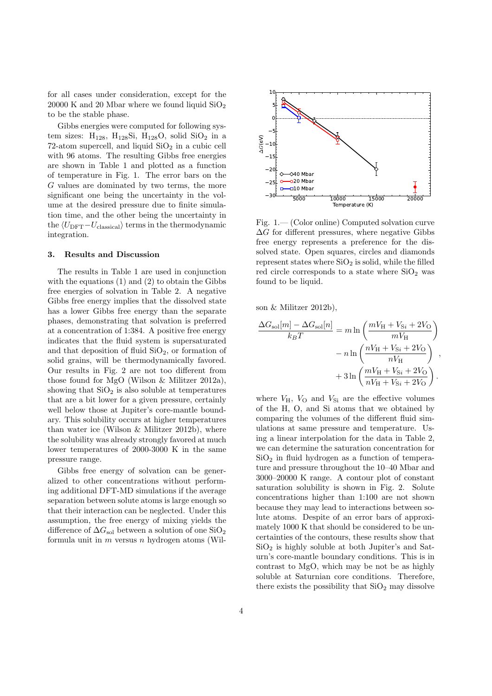for all cases under consideration, except for the  $20000$  K and  $20$  Mbar where we found liquid  $SiO<sub>2</sub>$ to be the stable phase.

Gibbs energies were computed for following system sizes:  $H_{128}$ ,  $H_{128}Si$ ,  $H_{128}O$ , solid  $SiO<sub>2</sub>$  in a 72-atom supercell, and liquid  $SiO<sub>2</sub>$  in a cubic cell with 96 atoms. The resulting Gibbs free energies are shown in Table 1 and plotted as a function of temperature in Fig. 1. The error bars on the G values are dominated by two terms, the more significant one being the uncertainty in the volume at the desired pressure due to finite simulation time, and the other being the uncertainty in the  $\langle U_{\rm DFT}-U_{\rm classical}\rangle$  terms in the thermodynamic integration.

#### 3. Results and Discussion

The results in Table 1 are used in conjunction with the equations (1) and (2) to obtain the Gibbs free energies of solvation in Table 2. A negative Gibbs free energy implies that the dissolved state has a lower Gibbs free energy than the separate phases, demonstrating that solvation is preferred at a concentration of 1:384. A positive free energy indicates that the fluid system is supersaturated and that deposition of fluid  $SiO<sub>2</sub>$ , or formation of solid grains, will be thermodynamically favored. Our results in Fig. 2 are not too different from those found for MgO (Wilson & Militzer 2012a), showing that  $SiO<sub>2</sub>$  is also soluble at temperatures that are a bit lower for a given pressure, certainly well below those at Jupiter's core-mantle boundary. This solubility occurs at higher temperatures than water ice (Wilson & Militzer 2012b), where the solubility was already strongly favored at much lower temperatures of 2000-3000 K in the same pressure range.

Gibbs free energy of solvation can be generalized to other concentrations without performing additional DFT-MD simulations if the average separation between solute atoms is large enough so that their interaction can be neglected. Under this assumption, the free energy of mixing yields the difference of  $\Delta G_{\rm sol}$  between a solution of one SiO<sub>2</sub> formula unit in  $m$  versus  $n$  hydrogen atoms (Wil-



Fig. 1.— (Color online) Computed solvation curve  $\Delta G$  for different pressures, where negative Gibbs free energy represents a preference for the dissolved state. Open squares, circles and diamonds represent states where  $SiO<sub>2</sub>$  is solid, while the filled red circle corresponds to a state where  $SiO<sub>2</sub>$  was found to be liquid.

son & Militzer 2012b),

$$
\frac{\Delta G_{\rm sol}[m] - \Delta G_{\rm sol}[n]}{k_B T} = m \ln \left( \frac{mV_{\rm H} + V_{\rm Si} + 2V_{\rm O}}{mV_{\rm H}} \right)
$$

$$
- n \ln \left( \frac{nV_{\rm H} + V_{\rm Si} + 2V_{\rm O}}{nV_{\rm H}} \right)
$$

$$
+ 3 \ln \left( \frac{mV_{\rm H} + V_{\rm Si} + 2V_{\rm O}}{nV_{\rm H} + V_{\rm Si} + 2V_{\rm O}} \right).
$$

where  $V_{\text{H}}$ ,  $V_{\text{O}}$  and  $V_{\text{Si}}$  are the effective volumes of the H, O, and Si atoms that we obtained by comparing the volumes of the different fluid simulations at same pressure and temperature. Using a linear interpolation for the data in Table 2, we can determine the saturation concentration for  $SiO<sub>2</sub>$  in fluid hydrogen as a function of temperature and pressure throughout the 10–40 Mbar and 3000–20000 K range. A contour plot of constant saturation solubility is shown in Fig. 2. Solute concentrations higher than 1:100 are not shown because they may lead to interactions between solute atoms. Despite of an error bars of approximately 1000 K that should be considered to be uncertainties of the contours, these results show that  $SiO<sub>2</sub>$  is highly soluble at both Jupiter's and Saturn's core-mantle boundary conditions. This is in contrast to MgO, which may be not be as highly soluble at Saturnian core conditions. Therefore, there exists the possibility that  $SiO<sub>2</sub>$  may dissolve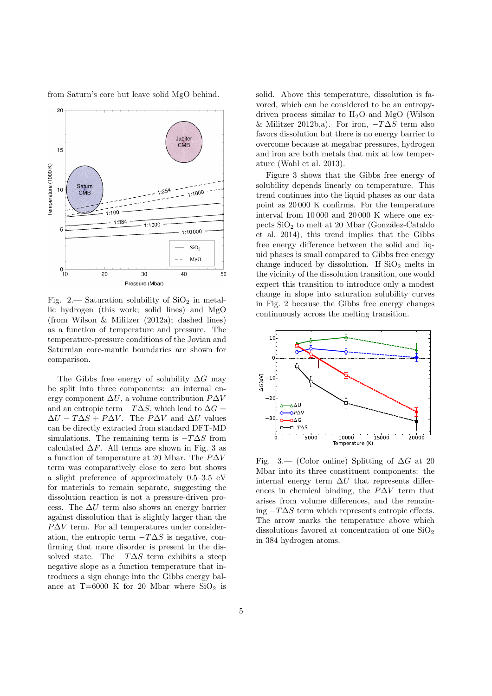

from Saturn's core but leave solid MgO behind.

Fig. 2.— Saturation solubility of  $SiO<sub>2</sub>$  in metallic hydrogen (this work; solid lines) and MgO (from Wilson & Militzer (2012a); dashed lines) as a function of temperature and pressure. The temperature-pressure conditions of the Jovian and Saturnian core-mantle boundaries are shown for comparison.

The Gibbs free energy of solubility  $\Delta G$  may be split into three components: an internal energy component  $\Delta U$ , a volume contribution  $P\Delta V$ and an entropic term  $-T\Delta S$ , which lead to  $\Delta G=$  $\Delta U - T \Delta S + P \Delta V$ . The P $\Delta V$  and  $\Delta U$  values can be directly extracted from standard DFT-MD simulations. The remaining term is  $-T\Delta S$  from calculated  $\Delta F$ . All terms are shown in Fig. 3 as a function of temperature at 20 Mbar. The  $P\Delta V$ term was comparatively close to zero but shows a slight preference of approximately 0.5–3.5 eV for materials to remain separate, suggesting the dissolution reaction is not a pressure-driven process. The  $\Delta U$  term also shows an energy barrier against dissolution that is slightly larger than the  $P\Delta V$  term. For all temperatures under consideration, the entropic term  $-T\Delta S$  is negative, confirming that more disorder is present in the dissolved state. The  $-T\Delta S$  term exhibits a steep negative slope as a function temperature that introduces a sign change into the Gibbs energy balance at  $T=6000$  K for 20 Mbar where  $SiO<sub>2</sub>$  is solid. Above this temperature, dissolution is favored, which can be considered to be an entropydriven process similar to  $H_2O$  and MgO (Wilson & Militzer 2012b,a). For iron,  $-T\Delta S$  term also favors dissolution but there is no energy barrier to overcome because at megabar pressures, hydrogen and iron are both metals that mix at low temperature (Wahl et al. 2013).

Figure 3 shows that the Gibbs free energy of solubility depends linearly on temperature. This trend continues into the liquid phases as our data point as 20 000 K confirms. For the temperature interval from 10 000 and 20 000 K where one expects  $SiO<sub>2</sub>$  to melt at 20 Mbar (González-Cataldo et al. 2014), this trend implies that the Gibbs free energy difference between the solid and liquid phases is small compared to Gibbs free energy change induced by dissolution. If  $SiO<sub>2</sub>$  melts in the vicinity of the dissolution transition, one would expect this transition to introduce only a modest change in slope into saturation solubility curves in Fig. 2 because the Gibbs free energy changes continuously across the melting transition.



Fig. 3.— (Color online) Splitting of  $\Delta G$  at 20 Mbar into its three constituent components: the internal energy term  $\Delta U$  that represents differences in chemical binding, the  $P\Delta V$  term that arises from volume differences, and the remaining  $-T\Delta S$  term which represents entropic effects. The arrow marks the temperature above which dissolutions favored at concentration of one  $SiO<sub>2</sub>$ in 384 hydrogen atoms.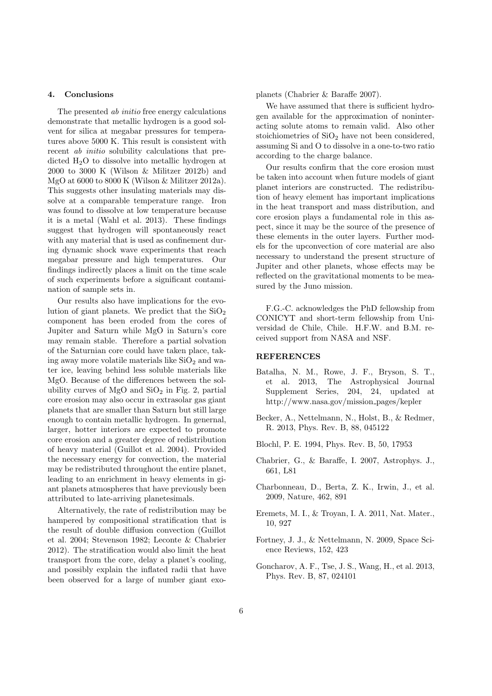#### 4. Conclusions

The presented *ab initio* free energy calculations demonstrate that metallic hydrogen is a good solvent for silica at megabar pressures for temperatures above 5000 K. This result is consistent with recent *ab initio* solubility calculations that predicted  $H_2O$  to dissolve into metallic hydrogen at 2000 to 3000 K (Wilson & Militzer 2012b) and MgO at 6000 to 8000 K (Wilson & Militzer 2012a). This suggests other insulating materials may dissolve at a comparable temperature range. Iron was found to dissolve at low temperature because it is a metal (Wahl et al. 2013). These findings suggest that hydrogen will spontaneously react with any material that is used as confinement during dynamic shock wave experiments that reach megabar pressure and high temperatures. Our findings indirectly places a limit on the time scale of such experiments before a significant contamination of sample sets in.

Our results also have implications for the evolution of giant planets. We predict that the  $SiO<sub>2</sub>$ component has been eroded from the cores of Jupiter and Saturn while MgO in Saturn's core may remain stable. Therefore a partial solvation of the Saturnian core could have taken place, taking away more volatile materials like  $SiO<sub>2</sub>$  and water ice, leaving behind less soluble materials like MgO. Because of the differences between the solubility curves of  $MgO$  and  $SiO<sub>2</sub>$  in Fig. 2, partial core erosion may also occur in extrasolar gas giant planets that are smaller than Saturn but still large enough to contain metallic hydrogen. In genernal, larger, hotter interiors are expected to promote core erosion and a greater degree of redistribution of heavy material (Guillot et al. 2004). Provided the necessary energy for convection, the material may be redistributed throughout the entire planet, leading to an enrichment in heavy elements in giant planets atmospheres that have previously been attributed to late-arriving planetesimals.

Alternatively, the rate of redistribution may be hampered by compositional stratification that is the result of double diffusion convection (Guillot et al. 2004; Stevenson 1982; Leconte & Chabrier 2012). The stratification would also limit the heat transport from the core, delay a planet's cooling, and possibly explain the inflated radii that have been observed for a large of number giant exoplanets (Chabrier & Baraffe 2007).

We have assumed that there is sufficient hydrogen available for the approximation of noninteracting solute atoms to remain valid. Also other stoichiometries of  $SiO<sub>2</sub>$  have not been considered, assuming Si and O to dissolve in a one-to-two ratio according to the charge balance.

Our results confirm that the core erosion must be taken into account when future models of giant planet interiors are constructed. The redistribution of heavy element has important implications in the heat transport and mass distribution, and core erosion plays a fundamental role in this aspect, since it may be the source of the presence of these elements in the outer layers. Further models for the upconvection of core material are also necessary to understand the present structure of Jupiter and other planets, whose effects may be reflected on the gravitational moments to be measured by the Juno mission.

F.G.-C. acknowledges the PhD fellowship from CONICYT and short-term fellowship from Universidad de Chile, Chile. H.F.W. and B.M. received support from NASA and NSF.

### REFERENCES

- Batalha, N. M., Rowe, J. F., Bryson, S. T., et al. 2013, The Astrophysical Journal Supplement Series, 204, 24, updated at http://www.nasa.gov/mission pages/kepler
- Becker, A., Nettelmann, N., Holst, B., & Redmer, R. 2013, Phys. Rev. B, 88, 045122
- Blochl, P. E. 1994, Phys. Rev. B, 50, 17953
- Chabrier, G., & Baraffe, I. 2007, Astrophys. J., 661, L81
- Charbonneau, D., Berta, Z. K., Irwin, J., et al. 2009, Nature, 462, 891
- Eremets, M. I., & Troyan, I. A. 2011, Nat. Mater., 10, 927
- Fortney, J. J., & Nettelmann, N. 2009, Space Science Reviews, 152, 423
- Goncharov, A. F., Tse, J. S., Wang, H., et al. 2013, Phys. Rev. B, 87, 024101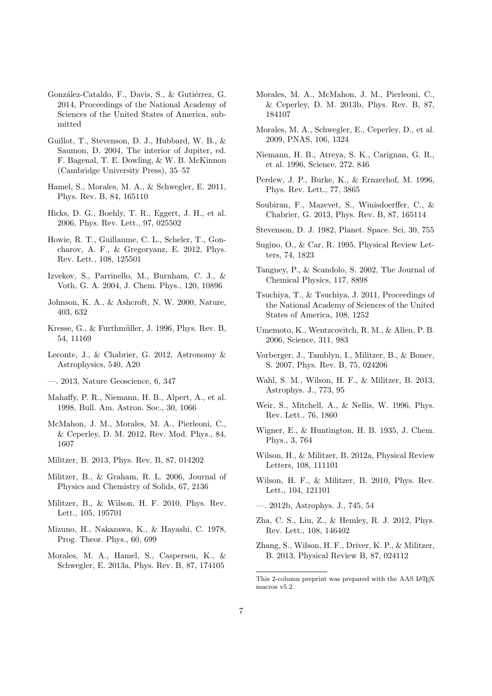- González-Cataldo, F., Davis, S., & Gutiérrez, G. 2014, Proceedings of the National Academy of Sciences of the United States of America, submitted
- Guillot, T., Stevenson, D. J., Hubbard, W. B., & Saumon, D. 2004, The interior of Jupiter, ed. F. Bagenal, T. E. Dowling, & W. B. McKinnon (Cambridge University Press), 35–57
- Hamel, S., Morales, M. A., & Schwegler, E. 2011, Phys. Rev. B, 84, 165110
- Hicks, D. G., Boehly, T. R., Eggert, J. H., et al. 2006, Phys. Rev. Lett., 97, 025502
- Howie, R. T., Guillaume, C. L., Scheler, T., Goncharov, A. F., & Gregoryanz, E. 2012, Phys. Rev. Lett., 108, 125501
- Izvekov, S., Parrinello, M., Burnham, C. J., & Voth, G. A. 2004, J. Chem. Phys., 120, 10896
- Johnson, K. A., & Ashcroft, N. W. 2000, Nature, 403, 632
- Kresse, G.,  $&$  Furthmüller, J. 1996, Phys. Rev. B, 54, 11169
- Leconte, J., & Chabrier, G. 2012, Astronomy & Astrophysics, 540, A20
- —. 2013, Nature Geoscience, 6, 347
- Mahaffy, P. R., Niemann, H. B., Alpert, A., et al. 1998, Bull. Am. Astron. Soc., 30, 1066
- McMahon, J. M., Morales, M. A., Pierleoni, C., & Ceperley, D. M. 2012, Rev. Mod. Phys., 84, 1607
- Militzer, B. 2013, Phys. Rev. B, 87, 014202
- Militzer, B., & Graham, R. L. 2006, Journal of Physics and Chemistry of Solids, 67, 2136
- Militzer, B., & Wilson, H. F. 2010, Phys. Rev. Lett., 105, 195701
- Mizuno, H., Nakazawa, K., & Hayashi, C. 1978, Prog. Theor. Phys., 60, 699
- Morales, M. A., Hamel, S., Caspersen, K., & Schwegler, E. 2013a, Phys. Rev. B, 87, 174105
- Morales, M. A., McMahon, J. M., Pierleoni, C., & Ceperley, D. M. 2013b, Phys. Rev. B, 87, 184107
- Morales, M. A., Schwegler, E., Ceperley, D., et al. 2009, PNAS, 106, 1324
- Niemann, H. B., Atreya, S. K., Carignan, G. R., et al. 1996, Science, 272, 846
- Perdew, J. P., Burke, K., & Ernzerhof, M. 1996, Phys. Rev. Lett., 77, 3865
- Soubiran, F., Mazevet, S., Winisdoerffer, C., & Chabrier, G. 2013, Phys. Rev. B, 87, 165114
- Stevenson, D. J. 1982, Planet. Space. Sci, 30, 755
- Sugino, O., & Car, R. 1995, Physical Review Letters, 74, 1823
- Tangney, P., & Scandolo, S. 2002, The Journal of Chemical Physics, 117, 8898
- Tsuchiya, T., & Tsuchiya, J. 2011, Proceedings of the National Academy of Sciences of the United States of America, 108, 1252
- Umemoto, K., Wentzcovitch, R. M., & Allen, P. B. 2006, Science, 311, 983
- Vorberger, J., Tamblyn, I., Militzer, B., & Bonev, S. 2007, Phys. Rev. B, 75, 024206
- Wahl, S. M., Wilson, H. F., & Militzer, B. 2013, Astrophys. J., 773, 95
- Weir, S., Mitchell, A., & Nellis, W. 1996, Phys. Rev. Lett., 76, 1860
- Wigner, E., & Huntington, H. B. 1935, J. Chem. Phys., 3, 764
- Wilson, H., & Militzer, B. 2012a, Physical Review Letters, 108, 111101
- Wilson, H. F., & Militzer, B. 2010, Phys. Rev. Lett., 104, 121101
- —. 2012b, Astrophys. J., 745, 54
- Zha, C. S., Liu, Z., & Hemley, R. J. 2012, Phys. Rev. Lett., 108, 146402
- Zhang, S., Wilson, H. F., Driver, K. P., & Militzer, B. 2013, Physical Review B, 87, 024112

This 2-column preprint was prepared with the AAS IATEX macros v5.2.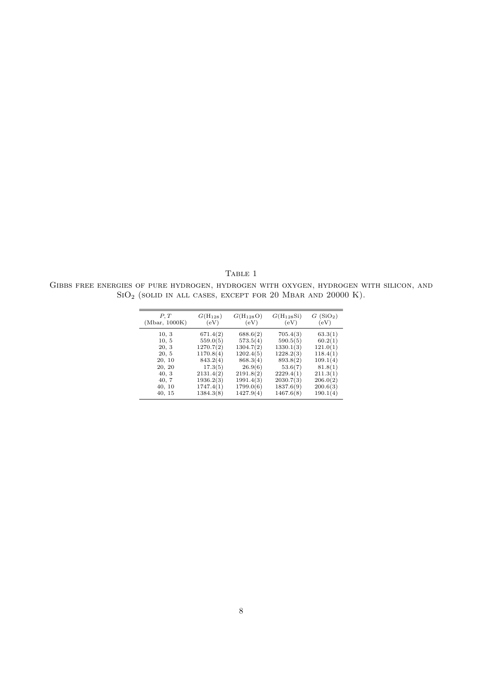TABLE 1 Gibbs free energies of pure hydrogen, hydrogen with oxygen, hydrogen with silicon, and  $\mathrm{SiO}_2$  (solid in all cases, except for 20 Mbar and 20000 K).

| P, T<br>(Mbar, 1000K) | $G(H_{128})$<br>(eV) | $G(H_{128}O)$<br>(eV) | $G(H_{128}Si)$<br>(eV) | G(SiO <sub>2</sub> )<br>(eV) |
|-----------------------|----------------------|-----------------------|------------------------|------------------------------|
| 10, 3                 | 671.4(2)             | 688.6(2)              | 705.4(3)               | 63.3(1)                      |
| 10, 5                 | 559.0(5)             | 573.5(4)              | 590.5(5)               | 60.2(1)                      |
| 20, 3                 | 1270.7(2)            | 1304.7(2)             | 1330.1(3)              | 121.0(1)                     |
| 20, 5                 | 1170.8(4)            | 1202.4(5)             | 1228.2(3)              | 118.4(1)                     |
| 20, 10                | 843.2(4)             | 868.3(4)              | 893.8(2)               | 109.1(4)                     |
| 20, 20                | 17.3(5)              | 26.9(6)               | 53.6(7)                | 81.8(1)                      |
| 40, 3                 | 2131.4(2)            | 2191.8(2)             | 2229.4(1)              | 211.3(1)                     |
| 40, 7                 | 1936.2(3)            | 1991.4(3)             | 2030.7(3)              | 206.0(2)                     |
| 40, 10                | 1747.4(1)            | 1799.0(6)             | 1837.6(9)              | 200.6(3)                     |
| 40, 15                | 1384.3(8)            | 1427.9(4)             | 1467.6(8)              | 190.1(4)                     |